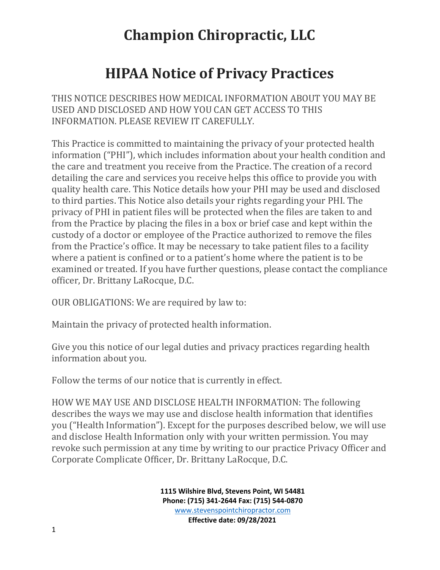### HIPAA Notice of Privacy Practices

THIS NOTICE DESCRIBES HOW MEDICAL INFORMATION ABOUT YOU MAY BE USED AND DISCLOSED AND HOW YOU CAN GET ACCESS TO THIS INFORMATION. PLEASE REVIEW IT CAREFULLY.

This Practice is committed to maintaining the privacy of your protected health information ("PHI"), which includes information about your health condition and the care and treatment you receive from the Practice. The creation of a record detailing the care and services you receive helps this office to provide you with quality health care. This Notice details how your PHI may be used and disclosed to third parties. This Notice also details your rights regarding your PHI. The privacy of PHI in patient files will be protected when the files are taken to and from the Practice by placing the files in a box or brief case and kept within the custody of a doctor or employee of the Practice authorized to remove the files from the Practice's office. It may be necessary to take patient files to a facility where a patient is confined or to a patient's home where the patient is to be examined or treated. If you have further questions, please contact the compliance officer, Dr. Brittany LaRocque, D.C.

OUR OBLIGATIONS: We are required by law to:

Maintain the privacy of protected health information.

Give you this notice of our legal duties and privacy practices regarding health information about you.

Follow the terms of our notice that is currently in effect.

HOW WE MAY USE AND DISCLOSE HEALTH INFORMATION: The following describes the ways we may use and disclose health information that identifies you ("Health Information"). Except for the purposes described below, we will use and disclose Health Information only with your written permission. You may revoke such permission at any time by writing to our practice Privacy Officer and Corporate Complicate Officer, Dr. Brittany LaRocque, D.C.

> 1115 Wilshire Blvd, Stevens Point, WI 54481 Phone: (715) 341-2644 Fax: (715) 544-0870 www.stevenspointchiropractor.com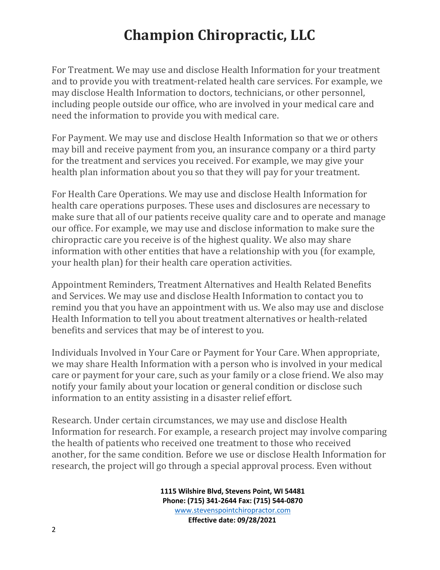For Treatment. We may use and disclose Health Information for your treatment and to provide you with treatment-related health care services. For example, we may disclose Health Information to doctors, technicians, or other personnel, including people outside our office, who are involved in your medical care and need the information to provide you with medical care.

For Payment. We may use and disclose Health Information so that we or others may bill and receive payment from you, an insurance company or a third party for the treatment and services you received. For example, we may give your health plan information about you so that they will pay for your treatment.

For Health Care Operations. We may use and disclose Health Information for health care operations purposes. These uses and disclosures are necessary to make sure that all of our patients receive quality care and to operate and manage our office. For example, we may use and disclose information to make sure the chiropractic care you receive is of the highest quality. We also may share information with other entities that have a relationship with you (for example, your health plan) for their health care operation activities.

Appointment Reminders, Treatment Alternatives and Health Related Benefits and Services. We may use and disclose Health Information to contact you to remind you that you have an appointment with us. We also may use and disclose Health Information to tell you about treatment alternatives or health-related benefits and services that may be of interest to you.

Individuals Involved in Your Care or Payment for Your Care. When appropriate, we may share Health Information with a person who is involved in your medical care or payment for your care, such as your family or a close friend. We also may notify your family about your location or general condition or disclose such information to an entity assisting in a disaster relief effort.

Research. Under certain circumstances, we may use and disclose Health Information for research. For example, a research project may involve comparing the health of patients who received one treatment to those who received another, for the same condition. Before we use or disclose Health Information for research, the project will go through a special approval process. Even without

> 1115 Wilshire Blvd, Stevens Point, WI 54481 Phone: (715) 341-2644 Fax: (715) 544-0870 www.stevenspointchiropractor.com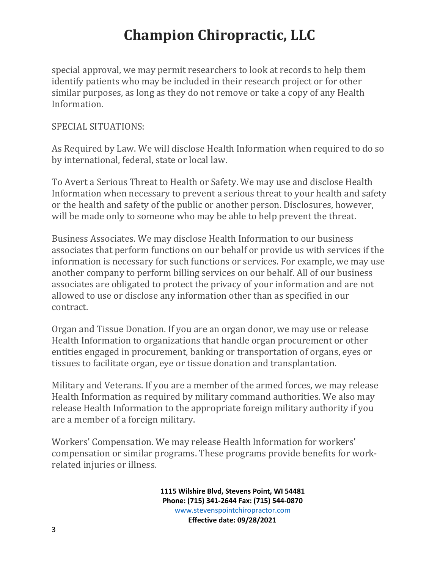special approval, we may permit researchers to look at records to help them identify patients who may be included in their research project or for other similar purposes, as long as they do not remove or take a copy of any Health Information.

#### SPECIAL SITUATIONS:

As Required by Law. We will disclose Health Information when required to do so by international, federal, state or local law.

To Avert a Serious Threat to Health or Safety. We may use and disclose Health Information when necessary to prevent a serious threat to your health and safety or the health and safety of the public or another person. Disclosures, however, will be made only to someone who may be able to help prevent the threat.

Business Associates. We may disclose Health Information to our business associates that perform functions on our behalf or provide us with services if the information is necessary for such functions or services. For example, we may use another company to perform billing services on our behalf. All of our business associates are obligated to protect the privacy of your information and are not allowed to use or disclose any information other than as specified in our contract.

Organ and Tissue Donation. If you are an organ donor, we may use or release Health Information to organizations that handle organ procurement or other entities engaged in procurement, banking or transportation of organs, eyes or tissues to facilitate organ, eye or tissue donation and transplantation.

Military and Veterans. If you are a member of the armed forces, we may release Health Information as required by military command authorities. We also may release Health Information to the appropriate foreign military authority if you are a member of a foreign military.

Workers' Compensation. We may release Health Information for workers' compensation or similar programs. These programs provide benefits for workrelated injuries or illness.

> 1115 Wilshire Blvd, Stevens Point, WI 54481 Phone: (715) 341-2644 Fax: (715) 544-0870 www.stevenspointchiropractor.com Effective date: 09/28/2021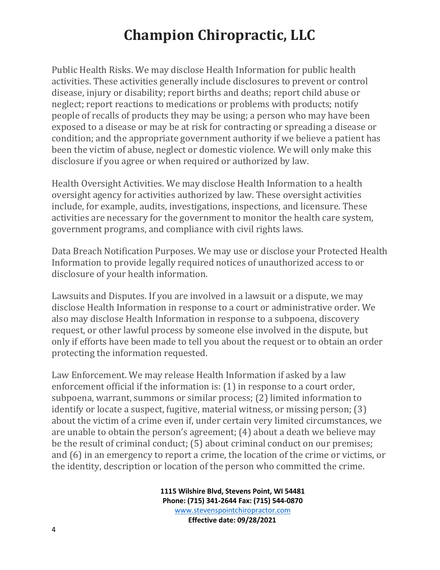Public Health Risks. We may disclose Health Information for public health activities. These activities generally include disclosures to prevent or control disease, injury or disability; report births and deaths; report child abuse or neglect; report reactions to medications or problems with products; notify people of recalls of products they may be using; a person who may have been exposed to a disease or may be at risk for contracting or spreading a disease or condition; and the appropriate government authority if we believe a patient has been the victim of abuse, neglect or domestic violence. We will only make this disclosure if you agree or when required or authorized by law.

Health Oversight Activities. We may disclose Health Information to a health oversight agency for activities authorized by law. These oversight activities include, for example, audits, investigations, inspections, and licensure. These activities are necessary for the government to monitor the health care system, government programs, and compliance with civil rights laws.

Data Breach Notification Purposes. We may use or disclose your Protected Health Information to provide legally required notices of unauthorized access to or disclosure of your health information.

Lawsuits and Disputes. If you are involved in a lawsuit or a dispute, we may disclose Health Information in response to a court or administrative order. We also may disclose Health Information in response to a subpoena, discovery request, or other lawful process by someone else involved in the dispute, but only if efforts have been made to tell you about the request or to obtain an order protecting the information requested.

Law Enforcement. We may release Health Information if asked by a law enforcement official if the information is: (1) in response to a court order, subpoena, warrant, summons or similar process; (2) limited information to identify or locate a suspect, fugitive, material witness, or missing person; (3) about the victim of a crime even if, under certain very limited circumstances, we are unable to obtain the person's agreement; (4) about a death we believe may be the result of criminal conduct; (5) about criminal conduct on our premises; and (6) in an emergency to report a crime, the location of the crime or victims, or the identity, description or location of the person who committed the crime.

> 1115 Wilshire Blvd, Stevens Point, WI 54481 Phone: (715) 341-2644 Fax: (715) 544-0870

www.stevenspointchiropractor.com Effective date: 09/28/2021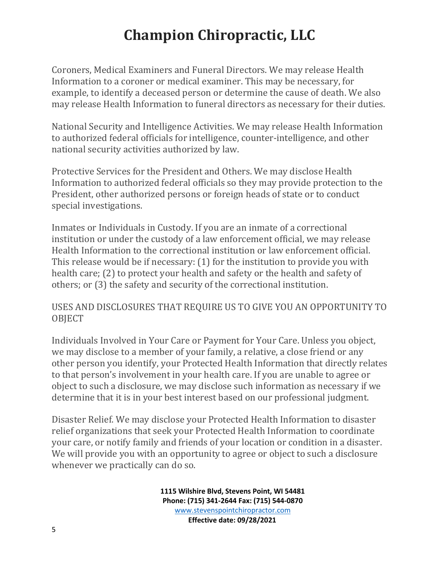Coroners, Medical Examiners and Funeral Directors. We may release Health Information to a coroner or medical examiner. This may be necessary, for example, to identify a deceased person or determine the cause of death. We also may release Health Information to funeral directors as necessary for their duties.

National Security and Intelligence Activities. We may release Health Information to authorized federal officials for intelligence, counter-intelligence, and other national security activities authorized by law.

Protective Services for the President and Others. We may disclose Health Information to authorized federal officials so they may provide protection to the President, other authorized persons or foreign heads of state or to conduct special investigations.

Inmates or Individuals in Custody. If you are an inmate of a correctional institution or under the custody of a law enforcement official, we may release Health Information to the correctional institution or law enforcement official. This release would be if necessary: (1) for the institution to provide you with health care; (2) to protect your health and safety or the health and safety of others; or (3) the safety and security of the correctional institution.

#### USES AND DISCLOSURES THAT REQUIRE US TO GIVE YOU AN OPPORTUNITY TO **OBJECT**

Individuals Involved in Your Care or Payment for Your Care. Unless you object, we may disclose to a member of your family, a relative, a close friend or any other person you identify, your Protected Health Information that directly relates to that person's involvement in your health care. If you are unable to agree or object to such a disclosure, we may disclose such information as necessary if we determine that it is in your best interest based on our professional judgment.

Disaster Relief. We may disclose your Protected Health Information to disaster relief organizations that seek your Protected Health Information to coordinate your care, or notify family and friends of your location or condition in a disaster. We will provide you with an opportunity to agree or object to such a disclosure whenever we practically can do so.

> 1115 Wilshire Blvd, Stevens Point, WI 54481 Phone: (715) 341-2644 Fax: (715) 544-0870 www.stevenspointchiropractor.com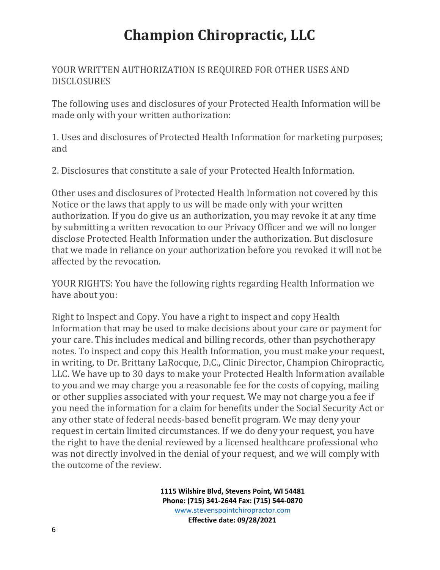#### YOUR WRITTEN AUTHORIZATION IS REQUIRED FOR OTHER USES AND **DISCLOSURES**

The following uses and disclosures of your Protected Health Information will be made only with your written authorization:

1. Uses and disclosures of Protected Health Information for marketing purposes; and

2. Disclosures that constitute a sale of your Protected Health Information.

Other uses and disclosures of Protected Health Information not covered by this Notice or the laws that apply to us will be made only with your written authorization. If you do give us an authorization, you may revoke it at any time by submitting a written revocation to our Privacy Officer and we will no longer disclose Protected Health Information under the authorization. But disclosure that we made in reliance on your authorization before you revoked it will not be affected by the revocation.

YOUR RIGHTS: You have the following rights regarding Health Information we have about you:

Right to Inspect and Copy. You have a right to inspect and copy Health Information that may be used to make decisions about your care or payment for your care. This includes medical and billing records, other than psychotherapy notes. To inspect and copy this Health Information, you must make your request, in writing, to Dr. Brittany LaRocque, D.C., Clinic Director, Champion Chiropractic, LLC. We have up to 30 days to make your Protected Health Information available to you and we may charge you a reasonable fee for the costs of copying, mailing or other supplies associated with your request. We may not charge you a fee if you need the information for a claim for benefits under the Social Security Act or any other state of federal needs-based benefit program. We may deny your request in certain limited circumstances. If we do deny your request, you have the right to have the denial reviewed by a licensed healthcare professional who was not directly involved in the denial of your request, and we will comply with the outcome of the review.

> 1115 Wilshire Blvd, Stevens Point, WI 54481 Phone: (715) 341-2644 Fax: (715) 544-0870 www.stevenspointchiropractor.com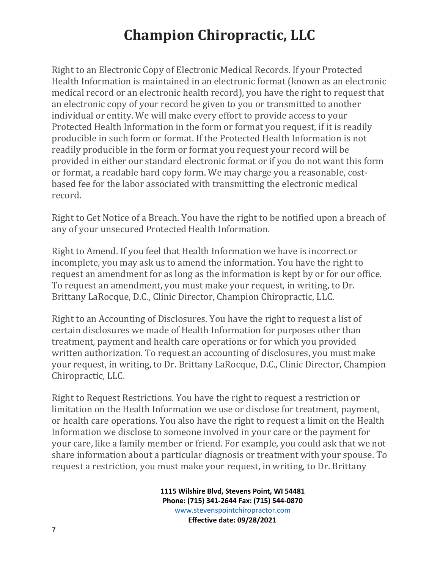Right to an Electronic Copy of Electronic Medical Records. If your Protected Health Information is maintained in an electronic format (known as an electronic medical record or an electronic health record), you have the right to request that an electronic copy of your record be given to you or transmitted to another individual or entity. We will make every effort to provide access to your Protected Health Information in the form or format you request, if it is readily producible in such form or format. If the Protected Health Information is not readily producible in the form or format you request your record will be provided in either our standard electronic format or if you do not want this form or format, a readable hard copy form. We may charge you a reasonable, costbased fee for the labor associated with transmitting the electronic medical record.

Right to Get Notice of a Breach. You have the right to be notified upon a breach of any of your unsecured Protected Health Information.

Right to Amend. If you feel that Health Information we have is incorrect or incomplete, you may ask us to amend the information. You have the right to request an amendment for as long as the information is kept by or for our office. To request an amendment, you must make your request, in writing, to Dr. Brittany LaRocque, D.C., Clinic Director, Champion Chiropractic, LLC.

Right to an Accounting of Disclosures. You have the right to request a list of certain disclosures we made of Health Information for purposes other than treatment, payment and health care operations or for which you provided written authorization. To request an accounting of disclosures, you must make your request, in writing, to Dr. Brittany LaRocque, D.C., Clinic Director, Champion Chiropractic, LLC.

Right to Request Restrictions. You have the right to request a restriction or limitation on the Health Information we use or disclose for treatment, payment, or health care operations. You also have the right to request a limit on the Health Information we disclose to someone involved in your care or the payment for your care, like a family member or friend. For example, you could ask that we not share information about a particular diagnosis or treatment with your spouse. To request a restriction, you must make your request, in writing, to Dr. Brittany

> 1115 Wilshire Blvd, Stevens Point, WI 54481 Phone: (715) 341-2644 Fax: (715) 544-0870

www.stevenspointchiropractor.com Effective date: 09/28/2021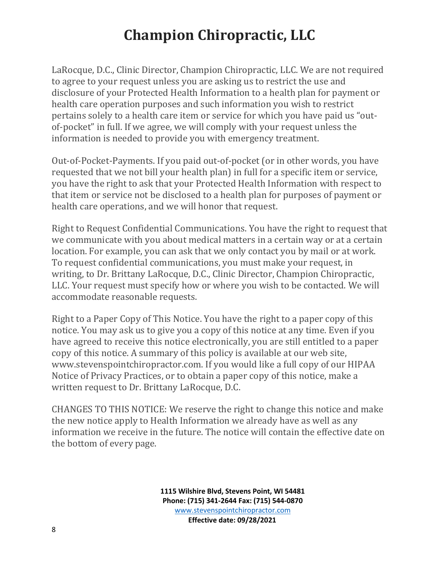LaRocque, D.C., Clinic Director, Champion Chiropractic, LLC. We are not required to agree to your request unless you are asking us to restrict the use and disclosure of your Protected Health Information to a health plan for payment or health care operation purposes and such information you wish to restrict pertains solely to a health care item or service for which you have paid us "outof-pocket" in full. If we agree, we will comply with your request unless the information is needed to provide you with emergency treatment.

Out-of-Pocket-Payments. If you paid out-of-pocket (or in other words, you have requested that we not bill your health plan) in full for a specific item or service, you have the right to ask that your Protected Health Information with respect to that item or service not be disclosed to a health plan for purposes of payment or health care operations, and we will honor that request.

Right to Request Confidential Communications. You have the right to request that we communicate with you about medical matters in a certain way or at a certain location. For example, you can ask that we only contact you by mail or at work. To request confidential communications, you must make your request, in writing, to Dr. Brittany LaRocque, D.C., Clinic Director, Champion Chiropractic, LLC. Your request must specify how or where you wish to be contacted. We will accommodate reasonable requests.

Right to a Paper Copy of This Notice. You have the right to a paper copy of this notice. You may ask us to give you a copy of this notice at any time. Even if you have agreed to receive this notice electronically, you are still entitled to a paper copy of this notice. A summary of this policy is available at our web site, www.stevenspointchiropractor.com. If you would like a full copy of our HIPAA Notice of Privacy Practices, or to obtain a paper copy of this notice, make a written request to Dr. Brittany LaRocque, D.C.

CHANGES TO THIS NOTICE: We reserve the right to change this notice and make the new notice apply to Health Information we already have as well as any information we receive in the future. The notice will contain the effective date on the bottom of every page.

> 1115 Wilshire Blvd, Stevens Point, WI 54481 Phone: (715) 341-2644 Fax: (715) 544-0870 www.stevenspointchiropractor.com Effective date: 09/28/2021